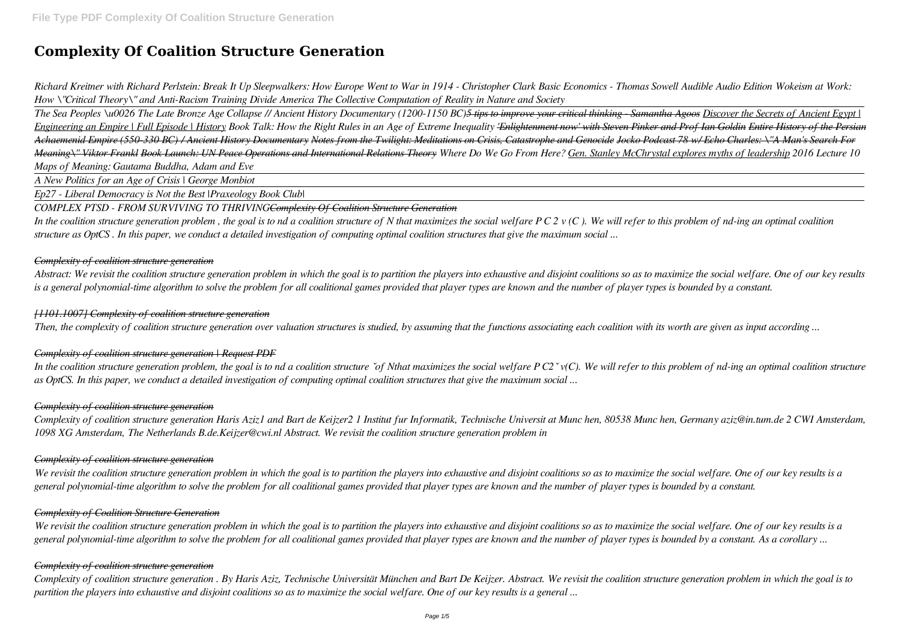# **Complexity Of Coalition Structure Generation**

*Richard Kreitner with Richard Perlstein: Break It Up Sleepwalkers: How Europe Went to War in 1914 - Christopher Clark Basic Economics - Thomas Sowell Audible Audio Edition Wokeism at Work: How \"Critical Theory\" and Anti-Racism Training Divide America The Collective Computation of Reality in Nature and Society*

*The Sea Peoples \u0026 The Late Bronze Age Collapse // Ancient History Documentary (1200-1150 BC)5 tips to improve your critical thinking - Samantha Agoos Discover the Secrets of Ancient Egypt | Engineering an Empire | Full Episode | History Book Talk: How the Right Rules in an Age of Extreme Inequality 'Enlightenment now' with Steven Pinker and Prof Ian Goldin Entire History of the Persian Achaemenid Empire (550-330 BC) / Ancient History Documentary Notes from the Twilight: Meditations on Crisis, Catastrophe and Genocide Jocko Podcast 78 w/ Echo Charles: \"A Man's Search For Meaning\" Viktor Frankl Book Launch: UN Peace Operations and International Relations Theory Where Do We Go From Here? Gen. Stanley McChrystal explores myths of leadership 2016 Lecture 10 Maps of Meaning: Gautama Buddha, Adam and Eve*

*A New Politics for an Age of Crisis | George Monbiot*

*Ep27 - Liberal Democracy is Not the Best |Praxeology Book Club|*

*COMPLEX PTSD - FROM SURVIVING TO THRIVINGComplexity Of Coalition Structure Generation*

*In the coalition structure generation problem, the goal is to nd a coalition structure `of Nthat maximizes the social welfare P C2 `v(C). We will refer to this problem of nd-ing an optimal coalition structure as OptCS. In this paper, we conduct a detailed investigation of computing optimal coalition structures that give the maximum social ...*

*In the coalition structure generation problem , the goal is to nd a coalition structure of N that maximizes the social welfare P C 2 v (C ). We will refer to this problem of nd-ing an optimal coalition structure as OptCS . In this paper, we conduct a detailed investigation of computing optimal coalition structures that give the maximum social ...*

## *Complexity of coalition structure generation*

*Abstract: We revisit the coalition structure generation problem in which the goal is to partition the players into exhaustive and disjoint coalitions so as to maximize the social welfare. One of our key results is a general polynomial-time algorithm to solve the problem for all coalitional games provided that player types are known and the number of player types is bounded by a constant.*

### *[1101.1007] Complexity of coalition structure generation*

*Then, the complexity of coalition structure generation over valuation structures is studied, by assuming that the functions associating each coalition with its worth are given as input according ...*

## *Complexity of coalition structure generation | Request PDF*

## *Complexity of coalition structure generation*

*Complexity of coalition structure generation Haris Aziz1 and Bart de Keijzer2 1 Institut fur Informatik, Technische Universit at Munc hen, 80538 Munc hen, Germany aziz@in.tum.de 2 CWI Amsterdam, 1098 XG Amsterdam, The Netherlands B.de.Keijzer@cwi.nl Abstract. We revisit the coalition structure generation problem in*

## *Complexity of coalition structure generation*

*We revisit the coalition structure generation problem in which the goal is to partition the players into exhaustive and disjoint coalitions so as to maximize the social welfare. One of our key results is a general polynomial-time algorithm to solve the problem for all coalitional games provided that player types are known and the number of player types is bounded by a constant.*

## *Complexity of Coalition Structure Generation*

*We revisit the coalition structure generation problem in which the goal is to partition the players into exhaustive and disjoint coalitions so as to maximize the social welfare. One of our key results is a general polynomial-time algorithm to solve the problem for all coalitional games provided that player types are known and the number of player types is bounded by a constant. As a corollary ...*

## *Complexity of coalition structure generation*

*Complexity of coalition structure generation . By Haris Aziz, Technische Universität München and Bart De Keijzer. Abstract. We revisit the coalition structure generation problem in which the goal is to partition the players into exhaustive and disjoint coalitions so as to maximize the social welfare. One of our key results is a general ...*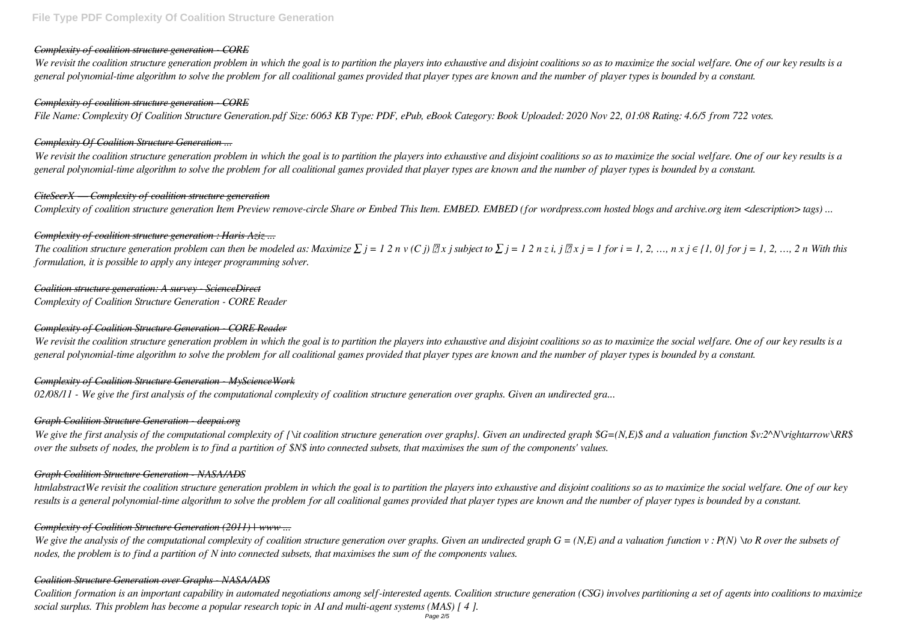## *Complexity of coalition structure generation - CORE*

*We revisit the coalition structure generation problem in which the goal is to partition the players into exhaustive and disjoint coalitions so as to maximize the social welfare. One of our key results is a general polynomial-time algorithm to solve the problem for all coalitional games provided that player types are known and the number of player types is bounded by a constant.*

## *Complexity of coalition structure generation - CORE*

*File Name: Complexity Of Coalition Structure Generation.pdf Size: 6063 KB Type: PDF, ePub, eBook Category: Book Uploaded: 2020 Nov 22, 01:08 Rating: 4.6/5 from 722 votes.*

## *Complexity Of Coalition Structure Generation ...*

*The coalition structure generation problem can then be modeled as: Maximize*  $\sum j = 1 \ 2 \ n \nu(C) \ \mathbb{Z} \times j$  subject to  $\sum j = 1 \ 2 \ n \ z \ i$ ,  $j \ \mathbb{Z} \times j = 1$  for  $i = 1, 2, ..., n \times j \in \{1, 0\}$  for  $j = 1, 2, ..., 2 \ n$  With this *formulation, it is possible to apply any integer programming solver.*

*We revisit the coalition structure generation problem in which the goal is to partition the players into exhaustive and disjoint coalitions so as to maximize the social welfare. One of our key results is a general polynomial-time algorithm to solve the problem for all coalitional games provided that player types are known and the number of player types is bounded by a constant.*

## *CiteSeerX — Complexity of coalition structure generation*

*Complexity of coalition structure generation Item Preview remove-circle Share or Embed This Item. EMBED. EMBED (for wordpress.com hosted blogs and archive.org item <description> tags) ...*

# *Complexity of coalition structure generation : Haris Aziz ...*

*We give the first analysis of the computational complexity of {\it coalition structure generation over graphs}. Given an undirected graph \$G=(N,E)\$ and a valuation function \$v:2^N\rightarrow\RR\$ over the subsets of nodes, the problem is to find a partition of \$N\$ into connected subsets, that maximises the sum of the components' values.*

*Coalition structure generation: A survey - ScienceDirect Complexity of Coalition Structure Generation - CORE Reader*

We give the analysis of the computational complexity of coalition structure generation over graphs. Given an undirected graph  $G = (N, E)$  and a valuation function  $v : P(N) \to R$  over the subsets of *nodes, the problem is to find a partition of N into connected subsets, that maximises the sum of the components values.*

# *Complexity of Coalition Structure Generation - CORE Reader*

*We revisit the coalition structure generation problem in which the goal is to partition the players into exhaustive and disjoint coalitions so as to maximize the social welfare. One of our key results is a general polynomial-time algorithm to solve the problem for all coalitional games provided that player types are known and the number of player types is bounded by a constant.*

# *Complexity of Coalition Structure Generation - MyScienceWork*

*02/08/11 - We give the first analysis of the computational complexity of coalition structure generation over graphs. Given an undirected gra...*

# *Graph Coalition Structure Generation - deepai.org*

# *Graph Coalition Structure Generation - NASA/ADS*

*htmlabstractWe revisit the coalition structure generation problem in which the goal is to partition the players into exhaustive and disjoint coalitions so as to maximize the social welfare. One of our key results is a general polynomial-time algorithm to solve the problem for all coalitional games provided that player types are known and the number of player types is bounded by a constant.*

# *Complexity of Coalition Structure Generation (2011) | www ...*

# *Coalition Structure Generation over Graphs - NASA/ADS*

*Coalition formation is an important capability in automated negotiations among self-interested agents. Coalition structure generation (CSG) involves partitioning a set of agents into coalitions to maximize social surplus. This problem has become a popular research topic in AI and multi-agent systems (MAS) [ 4 ].*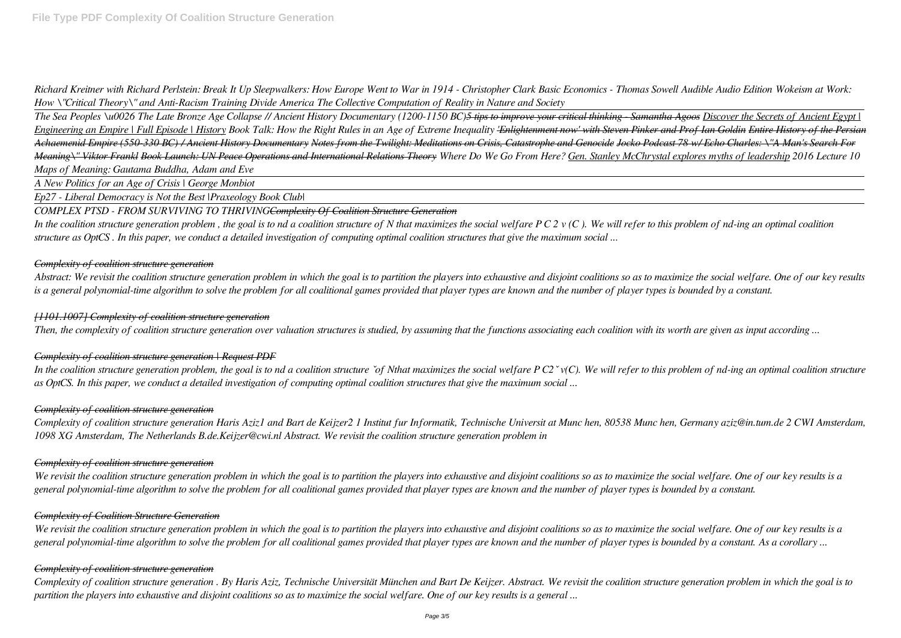*Richard Kreitner with Richard Perlstein: Break It Up Sleepwalkers: How Europe Went to War in 1914 - Christopher Clark Basic Economics - Thomas Sowell Audible Audio Edition Wokeism at Work: How \"Critical Theory\" and Anti-Racism Training Divide America The Collective Computation of Reality in Nature and Society*

*The Sea Peoples \u0026 The Late Bronze Age Collapse // Ancient History Documentary (1200-1150 BC)5 tips to improve your critical thinking - Samantha Agoos Discover the Secrets of Ancient Egypt | Engineering an Empire | Full Episode | History Book Talk: How the Right Rules in an Age of Extreme Inequality 'Enlightenment now' with Steven Pinker and Prof Ian Goldin Entire History of the Persian Achaemenid Empire (550-330 BC) / Ancient History Documentary Notes from the Twilight: Meditations on Crisis, Catastrophe and Genocide Jocko Podcast 78 w/ Echo Charles: \"A Man's Search For Meaning\" Viktor Frankl Book Launch: UN Peace Operations and International Relations Theory Where Do We Go From Here? Gen. Stanley McChrystal explores myths of leadership 2016 Lecture 10 Maps of Meaning: Gautama Buddha, Adam and Eve*

*A New Politics for an Age of Crisis | George Monbiot*

*Ep27 - Liberal Democracy is Not the Best |Praxeology Book Club|*

#### *COMPLEX PTSD - FROM SURVIVING TO THRIVINGComplexity Of Coalition Structure Generation*

*In the coalition structure generation problem, the goal is to nd a coalition structure `of Nthat maximizes the social welfare P C2 `v(C). We will refer to this problem of nd-ing an optimal coalition structure as OptCS. In this paper, we conduct a detailed investigation of computing optimal coalition structures that give the maximum social ...*

*In the coalition structure generation problem , the goal is to nd a coalition structure of N that maximizes the social welfare P C 2 v (C ). We will refer to this problem of nd-ing an optimal coalition structure as OptCS . In this paper, we conduct a detailed investigation of computing optimal coalition structures that give the maximum social ...*

#### *Complexity of coalition structure generation*

*Abstract: We revisit the coalition structure generation problem in which the goal is to partition the players into exhaustive and disjoint coalitions so as to maximize the social welfare. One of our key results is a general polynomial-time algorithm to solve the problem for all coalitional games provided that player types are known and the number of player types is bounded by a constant.*

#### *[1101.1007] Complexity of coalition structure generation*

*Then, the complexity of coalition structure generation over valuation structures is studied, by assuming that the functions associating each coalition with its worth are given as input according ...*

## *Complexity of coalition structure generation | Request PDF*

### *Complexity of coalition structure generation*

*Complexity of coalition structure generation Haris Aziz1 and Bart de Keijzer2 1 Institut fur Informatik, Technische Universit at Munc hen, 80538 Munc hen, Germany aziz@in.tum.de 2 CWI Amsterdam, 1098 XG Amsterdam, The Netherlands B.de.Keijzer@cwi.nl Abstract. We revisit the coalition structure generation problem in*

#### *Complexity of coalition structure generation*

*We revisit the coalition structure generation problem in which the goal is to partition the players into exhaustive and disjoint coalitions so as to maximize the social welfare. One of our key results is a general polynomial-time algorithm to solve the problem for all coalitional games provided that player types are known and the number of player types is bounded by a constant.*

## *Complexity of Coalition Structure Generation*

*We revisit the coalition structure generation problem in which the goal is to partition the players into exhaustive and disjoint coalitions so as to maximize the social welfare. One of our key results is a general polynomial-time algorithm to solve the problem for all coalitional games provided that player types are known and the number of player types is bounded by a constant. As a corollary ...*

## *Complexity of coalition structure generation*

*Complexity of coalition structure generation . By Haris Aziz, Technische Universität München and Bart De Keijzer. Abstract. We revisit the coalition structure generation problem in which the goal is to partition the players into exhaustive and disjoint coalitions so as to maximize the social welfare. One of our key results is a general ...*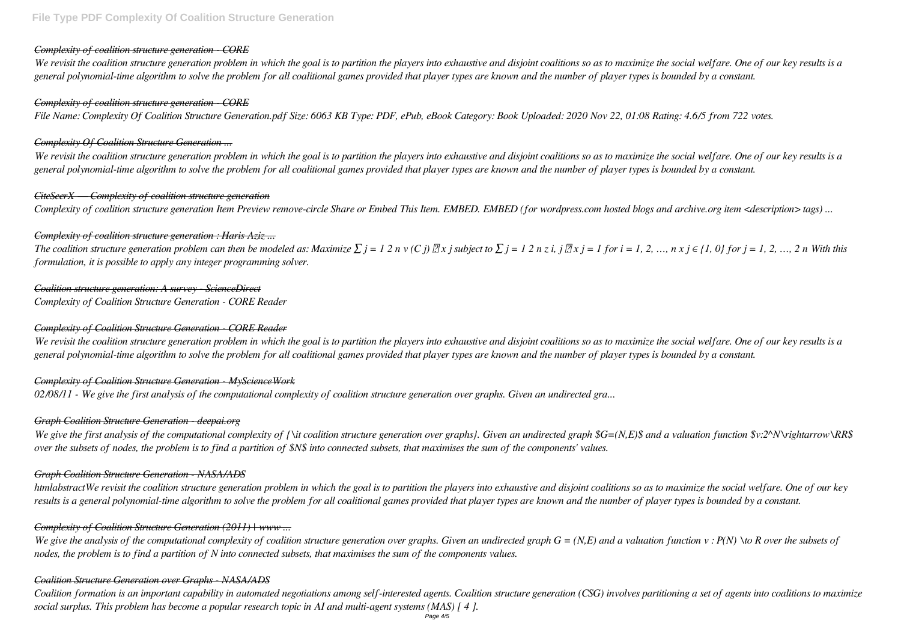## *Complexity of coalition structure generation - CORE*

*We revisit the coalition structure generation problem in which the goal is to partition the players into exhaustive and disjoint coalitions so as to maximize the social welfare. One of our key results is a general polynomial-time algorithm to solve the problem for all coalitional games provided that player types are known and the number of player types is bounded by a constant.*

## *Complexity of coalition structure generation - CORE*

*File Name: Complexity Of Coalition Structure Generation.pdf Size: 6063 KB Type: PDF, ePub, eBook Category: Book Uploaded: 2020 Nov 22, 01:08 Rating: 4.6/5 from 722 votes.*

## *Complexity Of Coalition Structure Generation ...*

*The coalition structure generation problem can then be modeled as: Maximize*  $\sum j = 1 \ 2 \ n \nu(C) \ \mathbb{Z} \times j$  subject to  $\sum j = 1 \ 2 \ n \ z \ i$ ,  $j \ \mathbb{Z} \times j = 1$  for  $i = 1, 2, ..., n \times j \in \{1, 0\}$  for  $j = 1, 2, ..., 2 \ n$  With this *formulation, it is possible to apply any integer programming solver.*

*We revisit the coalition structure generation problem in which the goal is to partition the players into exhaustive and disjoint coalitions so as to maximize the social welfare. One of our key results is a general polynomial-time algorithm to solve the problem for all coalitional games provided that player types are known and the number of player types is bounded by a constant.*

## *CiteSeerX — Complexity of coalition structure generation*

*Complexity of coalition structure generation Item Preview remove-circle Share or Embed This Item. EMBED. EMBED (for wordpress.com hosted blogs and archive.org item <description> tags) ...*

# *Complexity of coalition structure generation : Haris Aziz ...*

*We give the first analysis of the computational complexity of {\it coalition structure generation over graphs}. Given an undirected graph \$G=(N,E)\$ and a valuation function \$v:2^N\rightarrow\RR\$ over the subsets of nodes, the problem is to find a partition of \$N\$ into connected subsets, that maximises the sum of the components' values.*

*Coalition structure generation: A survey - ScienceDirect Complexity of Coalition Structure Generation - CORE Reader*

We give the analysis of the computational complexity of coalition structure generation over graphs. Given an undirected graph  $G = (N, E)$  and a valuation function  $v : P(N) \to R$  over the subsets of *nodes, the problem is to find a partition of N into connected subsets, that maximises the sum of the components values.*

# *Complexity of Coalition Structure Generation - CORE Reader*

*We revisit the coalition structure generation problem in which the goal is to partition the players into exhaustive and disjoint coalitions so as to maximize the social welfare. One of our key results is a general polynomial-time algorithm to solve the problem for all coalitional games provided that player types are known and the number of player types is bounded by a constant.*

# *Complexity of Coalition Structure Generation - MyScienceWork*

*02/08/11 - We give the first analysis of the computational complexity of coalition structure generation over graphs. Given an undirected gra...*

# *Graph Coalition Structure Generation - deepai.org*

# *Graph Coalition Structure Generation - NASA/ADS*

*htmlabstractWe revisit the coalition structure generation problem in which the goal is to partition the players into exhaustive and disjoint coalitions so as to maximize the social welfare. One of our key results is a general polynomial-time algorithm to solve the problem for all coalitional games provided that player types are known and the number of player types is bounded by a constant.*

# *Complexity of Coalition Structure Generation (2011) | www ...*

# *Coalition Structure Generation over Graphs - NASA/ADS*

*Coalition formation is an important capability in automated negotiations among self-interested agents. Coalition structure generation (CSG) involves partitioning a set of agents into coalitions to maximize social surplus. This problem has become a popular research topic in AI and multi-agent systems (MAS) [ 4 ].*